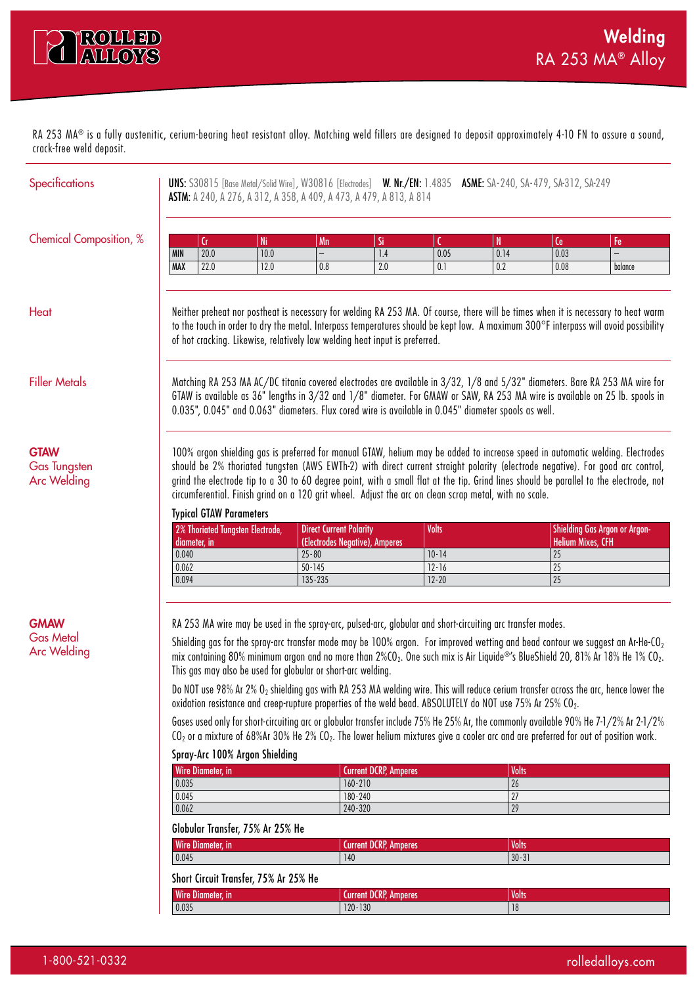

RA 253 MA® is a fully austenitic, cerium-bearing heat resistant alloy. Matching weld fillers are designed to deposit approximately 4-10 FN to assure a sound, crack-free weld deposit.

| <b>Specifications</b>                                    |                                                                                                                                                                                                                                                                                                                                                                                                                                                                                                                                                       |                                                                                                                                                                                                                                                                           |                                | <b>ASTM:</b> A 240, A 276, A 312, A 358, A 409, A 473, A 479, A 813, A 814 |                              |              | UNS: S30815 [Base Metal/Solid Wire], W30816 [Electrodes] W. Nr./EN: 1.4835 ASME: SA-240, SA-479, SA-312, SA-249 |                                |                                                                                                                                                                                                                                                                                                      |
|----------------------------------------------------------|-------------------------------------------------------------------------------------------------------------------------------------------------------------------------------------------------------------------------------------------------------------------------------------------------------------------------------------------------------------------------------------------------------------------------------------------------------------------------------------------------------------------------------------------------------|---------------------------------------------------------------------------------------------------------------------------------------------------------------------------------------------------------------------------------------------------------------------------|--------------------------------|----------------------------------------------------------------------------|------------------------------|--------------|-----------------------------------------------------------------------------------------------------------------|--------------------------------|------------------------------------------------------------------------------------------------------------------------------------------------------------------------------------------------------------------------------------------------------------------------------------------------------|
| Chemical Composition, %                                  |                                                                                                                                                                                                                                                                                                                                                                                                                                                                                                                                                       |                                                                                                                                                                                                                                                                           |                                |                                                                            |                              |              |                                                                                                                 |                                |                                                                                                                                                                                                                                                                                                      |
|                                                          | <b>MIN</b>                                                                                                                                                                                                                                                                                                                                                                                                                                                                                                                                            | Сr<br>20.0                                                                                                                                                                                                                                                                | <b>Ni</b><br>10.0              | Mn<br>$\overline{\phantom{0}}$                                             | Si<br>1.4                    | 0.05         | N<br>0.14                                                                                                       | Ce<br>0.03                     | Fe                                                                                                                                                                                                                                                                                                   |
|                                                          | <b>MAX</b>                                                                                                                                                                                                                                                                                                                                                                                                                                                                                                                                            | 22.0                                                                                                                                                                                                                                                                      | 12.0                           | 0.8                                                                        | 2.0                          | 0.1          | 0.2                                                                                                             | 0.08                           | balance                                                                                                                                                                                                                                                                                              |
|                                                          |                                                                                                                                                                                                                                                                                                                                                                                                                                                                                                                                                       |                                                                                                                                                                                                                                                                           |                                |                                                                            |                              |              |                                                                                                                 |                                |                                                                                                                                                                                                                                                                                                      |
| Heat                                                     |                                                                                                                                                                                                                                                                                                                                                                                                                                                                                                                                                       |                                                                                                                                                                                                                                                                           |                                | of hot cracking. Likewise, relatively low welding heat input is preferred. |                              |              |                                                                                                                 |                                | Neither preheat nor postheat is necessary for welding RA 253 MA. Of course, there will be times when it is necessary to heat warm<br>to the touch in order to dry the metal. Interpass temperatures should be kept low. A maximum 300°F interpass will avoid possibility                             |
| <b>Filler Metals</b>                                     |                                                                                                                                                                                                                                                                                                                                                                                                                                                                                                                                                       |                                                                                                                                                                                                                                                                           |                                |                                                                            |                              |              | 0.035", 0.045" and 0.063" diameters. Flux cored wire is available in 0.045" diameter spools as well.            |                                | Matching RA 253 MA AC/DC titania covered electrodes are available in 3/32, 1/8 and 5/32" diameters. Bare RA 253 MA wire for<br>GTAW is available as 36" lengths in 3/32 and 1/8" diameter. For GMAW or SAW, RA 253 MA wire is available on 25 lb. spools in                                          |
| <b>GTAW</b><br><b>Gas Tungsten</b><br><b>Arc Welding</b> | 100% argon shielding gas is preferred for manual GTAW, helium may be added to increase speed in automatic welding. Electrodes<br>should be 2% thoriated tungsten (AWS EWTh-2) with direct current straight polarity (electrode negative). For good arc control,<br>grind the electrode tip to a 30 to 60 degree point, with a small flat at the tip. Grind lines should be parallel to the electrode, not<br>circumferential. Finish grind on a 120 grit wheel. Adjust the arc on clean scrap metal, with no scale.<br><b>Typical GTAW Parameters</b> |                                                                                                                                                                                                                                                                           |                                |                                                                            |                              |              |                                                                                                                 |                                |                                                                                                                                                                                                                                                                                                      |
|                                                          |                                                                                                                                                                                                                                                                                                                                                                                                                                                                                                                                                       | 2% Thoriated Tungsten Electrode,                                                                                                                                                                                                                                          |                                | <b>Direct Current Polarity</b>                                             |                              | <b>Volts</b> |                                                                                                                 |                                | <b>Shielding Gas Argon or Argon-</b>                                                                                                                                                                                                                                                                 |
|                                                          | 0.040                                                                                                                                                                                                                                                                                                                                                                                                                                                                                                                                                 | diameter, in                                                                                                                                                                                                                                                              |                                | (Electrodes Negative), Amperes<br>$25 - 80$                                |                              | $10 - 14$    |                                                                                                                 | <b>Helium Mixes, CFH</b><br>25 |                                                                                                                                                                                                                                                                                                      |
|                                                          | 0.062                                                                                                                                                                                                                                                                                                                                                                                                                                                                                                                                                 |                                                                                                                                                                                                                                                                           |                                | $50 - 145$                                                                 |                              | $12 - 16$    |                                                                                                                 | 25                             |                                                                                                                                                                                                                                                                                                      |
|                                                          | 0.094                                                                                                                                                                                                                                                                                                                                                                                                                                                                                                                                                 |                                                                                                                                                                                                                                                                           |                                | 135-235                                                                    |                              | $12 - 20$    |                                                                                                                 | 25                             |                                                                                                                                                                                                                                                                                                      |
| <b>GMAW</b><br><b>Gas Metal</b><br><b>Arc Welding</b>    |                                                                                                                                                                                                                                                                                                                                                                                                                                                                                                                                                       |                                                                                                                                                                                                                                                                           |                                | This gas may also be used for globular or short-arc welding.               |                              |              | RA 253 MA wire may be used in the spray-arc, pulsed-arc, globular and short-circuiting arc transfer modes.      |                                | Shielding gas for the spray-arc transfer mode may be 100% argon. For improved wetting and bead contour we suggest an Ar-He-CO <sub>2</sub><br>mix containing 80% minimum argon and no more than 2%CO <sub>2</sub> . One such mix is Air Liquide®'s BlueShield 20, 81% Ar 18% He 1% CO <sub>2</sub> . |
|                                                          |                                                                                                                                                                                                                                                                                                                                                                                                                                                                                                                                                       | Do NOT use 98% Ar 2% O <sub>2</sub> shielding gas with RA 253 MA welding wire. This will reduce cerium transfer across the arc, hence lower the<br>oxidation resistance and creep-rupture properties of the weld bead. ABSOLUTELY do NOT use 75% Ar 25% CO <sub>2</sub> . |                                |                                                                            |                              |              |                                                                                                                 |                                |                                                                                                                                                                                                                                                                                                      |
|                                                          | Gases used only for short-circuiting arc or globular transfer include 75% He 25% Ar, the commonly available 90% He 7-1/2% Ar 2-1/2%<br>CO <sub>2</sub> or a mixture of 68%Ar 30% He 2% CO <sub>2</sub> . The lower helium mixtures give a cooler arc and are preferred for out of position work.                                                                                                                                                                                                                                                      |                                                                                                                                                                                                                                                                           |                                |                                                                            |                              |              |                                                                                                                 |                                |                                                                                                                                                                                                                                                                                                      |
|                                                          |                                                                                                                                                                                                                                                                                                                                                                                                                                                                                                                                                       |                                                                                                                                                                                                                                                                           | Spray-Arc 100% Argon Shielding |                                                                            |                              |              |                                                                                                                 |                                |                                                                                                                                                                                                                                                                                                      |
|                                                          |                                                                                                                                                                                                                                                                                                                                                                                                                                                                                                                                                       | Wire Diameter, in                                                                                                                                                                                                                                                         |                                |                                                                            | <b>Current DCRP, Amperes</b> |              | <b>Volts</b>                                                                                                    |                                |                                                                                                                                                                                                                                                                                                      |
|                                                          | 0.035                                                                                                                                                                                                                                                                                                                                                                                                                                                                                                                                                 |                                                                                                                                                                                                                                                                           |                                |                                                                            | $160 - 210$                  |              | 26                                                                                                              |                                |                                                                                                                                                                                                                                                                                                      |
|                                                          | 0.045<br>0.062                                                                                                                                                                                                                                                                                                                                                                                                                                                                                                                                        |                                                                                                                                                                                                                                                                           |                                |                                                                            | 180-240                      |              | $27\,$<br>29                                                                                                    |                                |                                                                                                                                                                                                                                                                                                      |
|                                                          | 240-320<br>Globular Transfer, 75% Ar 25% He                                                                                                                                                                                                                                                                                                                                                                                                                                                                                                           |                                                                                                                                                                                                                                                                           |                                |                                                                            |                              |              |                                                                                                                 |                                |                                                                                                                                                                                                                                                                                                      |
|                                                          |                                                                                                                                                                                                                                                                                                                                                                                                                                                                                                                                                       | Wire Diameter, in                                                                                                                                                                                                                                                         |                                |                                                                            | <b>Current DCRP, Amperes</b> |              | <b>Volts</b>                                                                                                    |                                |                                                                                                                                                                                                                                                                                                      |
|                                                          | 0.045                                                                                                                                                                                                                                                                                                                                                                                                                                                                                                                                                 |                                                                                                                                                                                                                                                                           |                                | 140                                                                        |                              |              | $30 - 31$                                                                                                       |                                |                                                                                                                                                                                                                                                                                                      |

## Short Circuit Transfer, 75% Ar 25% He

| <b>DIDIT CILCUIL ILUIISIGI, 7 J/0 AL 2 J/0 IIG</b> |                   |                              |       |  |  |
|----------------------------------------------------|-------------------|------------------------------|-------|--|--|
|                                                    | Wire Diameter, in | <b>Current DCRP, Amperes</b> | Volts |  |  |
|                                                    | 0.035             | $120 - 130$                  | 10    |  |  |